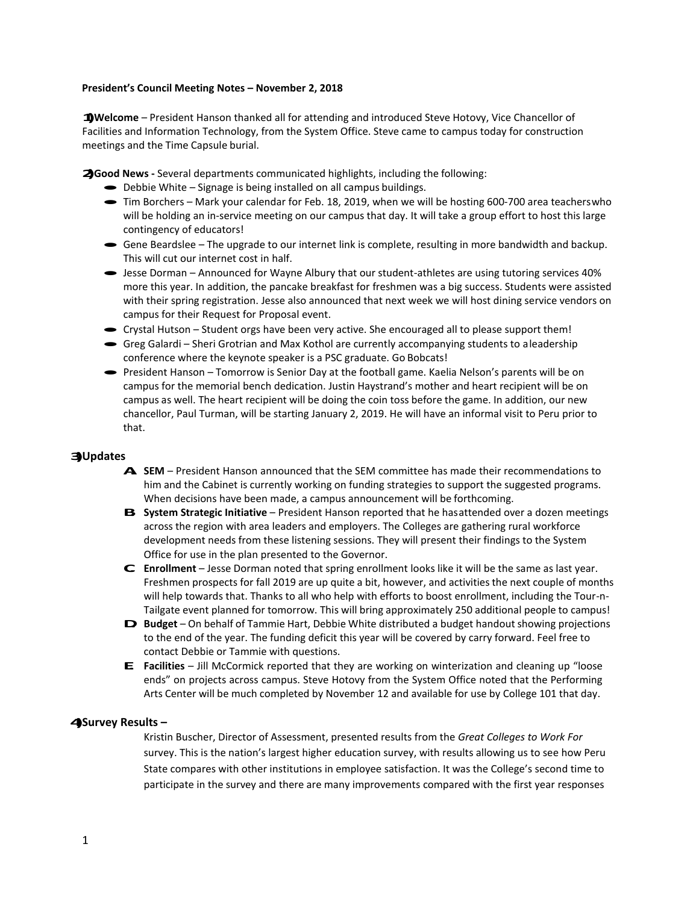## **President's Council Meeting Notes – November 2, 2018**

**1)Welcome** – President Hanson thanked all for attending and introduced Steve Hotovy, Vice Chancellor of Facilities and Information Technology, from the System Office. Steve came to campus today for construction meetings and the Time Capsule burial.

**2)Good News -** Several departments communicated highlights, including the following:

- Debbie White Signage is being installed on all campus buildings.
- · Tim Borchers Mark your calendar for Feb. 18, 2019, when we will be hosting 600-700 area teacherswho will be holding an in-service meeting on our campus that day. It will take a group effort to host this large contingency of educators!
- · Gene Beardslee The upgrade to our internet link is complete, resulting in more bandwidth and backup. This will cut our internet cost in half.
- · Jesse Dorman Announced for Wayne Albury that our student-athletes are using tutoring services 40% more this year. In addition, the pancake breakfast for freshmen was a big success. Students were assisted with their spring registration. Jesse also announced that next week we will host dining service vendors on campus for their Request for Proposal event. campus for their Request for Proposal event.<br>
• Crystal Hutson – Student orgs have been very active. She encouraged all to please support them!
- 
- Crystal Hutson Student orgs have been very active. She encouraged all to please support them!<br>• Greg Galardi Sheri Grotrian and Max Kothol are currently accompanying students to aleadership conference where the keynote speaker is a PSC graduate. Go Bobcats!
- · President Hanson Tomorrow is Senior Day at the football game. Kaelia Nelson's parents will be on campus for the memorial bench dedication. Justin Haystrand's mother and heart recipient will be on campus as well. The heart recipient will be doing the coin toss before the game. In addition, our new chancellor, Paul Turman, will be starting January 2, 2019. He will have an informal visit to Peru prior to that.

## **3)Updates**

- **A. SEM**  President Hanson announced that the SEM committee has made their recommendations to him and the Cabinet is currently working on funding strategies to support the suggested programs. When decisions have been made, a campus announcement will be forthcoming.
- **B. System Strategic Initiative** President Hanson reported that he hasattended over a dozen meetings across the region with area leaders and employers. The Colleges are gathering rural workforce development needs from these listening sessions. They will present their findings to the System Office for use in the plan presented to the Governor.
- **C. Enrollment**  Jesse Dorman noted that spring enrollment looks like it will be the same as last year. Freshmen prospects for fall 2019 are up quite a bit, however, and activities the next couple of months will help towards that. Thanks to all who help with efforts to boost enrollment, including the Tour-n-Tailgate event planned for tomorrow. This will bring approximately 250 additional people to campus!
- **D. Budget** On behalf of Tammie Hart, Debbie White distributed <sup>a</sup> budget handout showing projections to the end of the year. The funding deficit this year will be covered by carry forward. Feel free to contact Debbie or Tammie with questions.
- **E.** Facilities Jill McCormick reported that they are working on winterization and cleaning up "loose ends" on projects across campus. Steve Hotovy from the System Office noted that the Performing Arts Center will be much completed by November 12 and available for use by College 101 that day.

## **4)Survey Results –**

Kristin Buscher, Director of Assessment, presented results from the *Great Colleges to Work For* survey. This is the nation's largest higher education survey, with results allowing us to see how Peru State compares with other institutions in employee satisfaction. It was the College's second time to participate in the survey and there are many improvements compared with the first year responses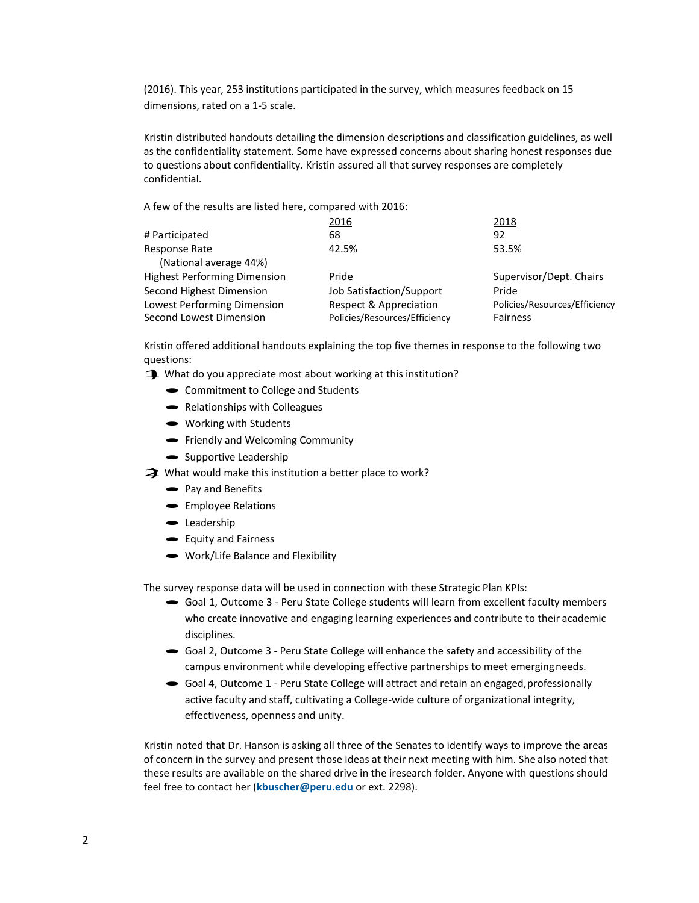(2016). This year, 253 institutions participated in the survey, which measures feedback on 15 dimensions, rated on a 1-5 scale.

Kristin distributed handouts detailing the dimension descriptions and classification guidelines, as well as the confidentiality statement. Some have expressed concerns about sharing honest responses due to questions about confidentiality. Kristin assured all that survey responses are completely confidential.

A few of the results are listed here, compared with 2016:

|                                     | 2016                          | 2018                          |
|-------------------------------------|-------------------------------|-------------------------------|
| # Participated                      | 68                            | 92                            |
| Response Rate                       | 42.5%                         | 53.5%                         |
| (National average 44%)              |                               |                               |
| <b>Highest Performing Dimension</b> | Pride                         | Supervisor/Dept. Chairs       |
| Second Highest Dimension            | Job Satisfaction/Support      | Pride                         |
| Lowest Performing Dimension         | Respect & Appreciation        | Policies/Resources/Efficiency |
| Second Lowest Dimension             | Policies/Resources/Efficiency | <b>Fairness</b>               |
|                                     |                               |                               |

Kristin offered additional handouts explaining the top five themes in response to the following two questions: questions:<br>1) What do you appreciate most about working at this institution?

- 
- What do you appreciate most about work<br>• Commitment to College and Students • Commitment to College and S<br>• Relationships with Colleagues
	-
	- Relationships with Coll<br>• Working with Students
	- Working with Students<br>• Friendly and Welcoming Community
	- Friendly and Welcomin<br>• Supportive Leadership
- $\bullet$  Supportive Leadership<br> **2**) What would make this institution a better place to work?
	- Pay and Benefits
	- Pay and Benefits<br>• Employee Relations • Employee I<br>• Leadership
	-
	- Leadership<br>• Equity and Fairness
	- Work/Life Balance and Flexibility

The survey response data will be used in connection with these Strategic Plan KPIs:

- · Goal 1, Outcome 3 Peru State College students will learn from excellent faculty members who create innovative and engaging learning experiences and contribute to their academic disciplines.
- · Goal 2, Outcome 3 Peru State College will enhance the safety and accessibility of the campus environment while developing effective partnerships to meet emergingneeds.
- Goal 4, Outcome 1 Peru State College will attract and retain an engaged, professionally active faculty and staff, cultivating a College-wide culture of organizational integrity, effectiveness, openness and unity.

Kristin noted that Dr. Hanson is asking all three of the Senates to identify ways to improve the areas of concern in the survey and present those ideas at their next meeting with him. She also noted that these results are available on the shared drive in the iresearch folder. Anyone with questions should feel free to contact her (**[kbuscher@peru.edu](mailto:kbuscher@peru.edu)** or ext. 2298).